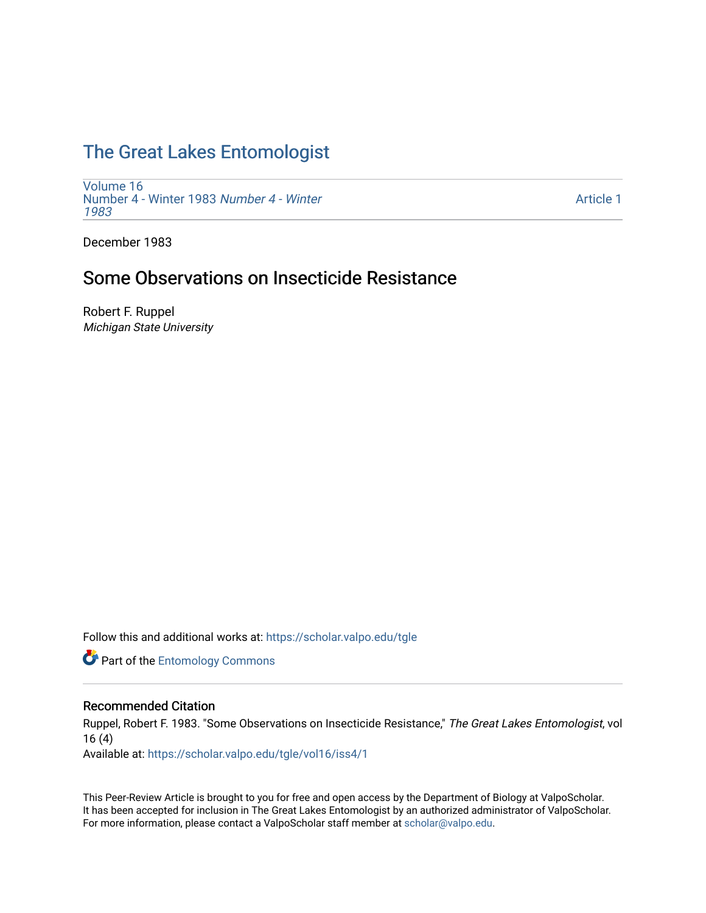# [The Great Lakes Entomologist](https://scholar.valpo.edu/tgle)

[Volume 16](https://scholar.valpo.edu/tgle/vol16) [Number 4 - Winter 1983](https://scholar.valpo.edu/tgle/vol16/iss4) Number 4 - Winter [1983](https://scholar.valpo.edu/tgle/vol16/iss4) 

[Article 1](https://scholar.valpo.edu/tgle/vol16/iss4/1) 

December 1983

## Some Observations on Insecticide Resistance

Robert F. Ruppel Michigan State University

Follow this and additional works at: [https://scholar.valpo.edu/tgle](https://scholar.valpo.edu/tgle?utm_source=scholar.valpo.edu%2Ftgle%2Fvol16%2Fiss4%2F1&utm_medium=PDF&utm_campaign=PDFCoverPages) 

**Part of the Entomology Commons** 

### Recommended Citation

Ruppel, Robert F. 1983. "Some Observations on Insecticide Resistance," The Great Lakes Entomologist, vol 16 (4)

Available at: [https://scholar.valpo.edu/tgle/vol16/iss4/1](https://scholar.valpo.edu/tgle/vol16/iss4/1?utm_source=scholar.valpo.edu%2Ftgle%2Fvol16%2Fiss4%2F1&utm_medium=PDF&utm_campaign=PDFCoverPages) 

This Peer-Review Article is brought to you for free and open access by the Department of Biology at ValpoScholar. It has been accepted for inclusion in The Great Lakes Entomologist by an authorized administrator of ValpoScholar. For more information, please contact a ValpoScholar staff member at [scholar@valpo.edu](mailto:scholar@valpo.edu).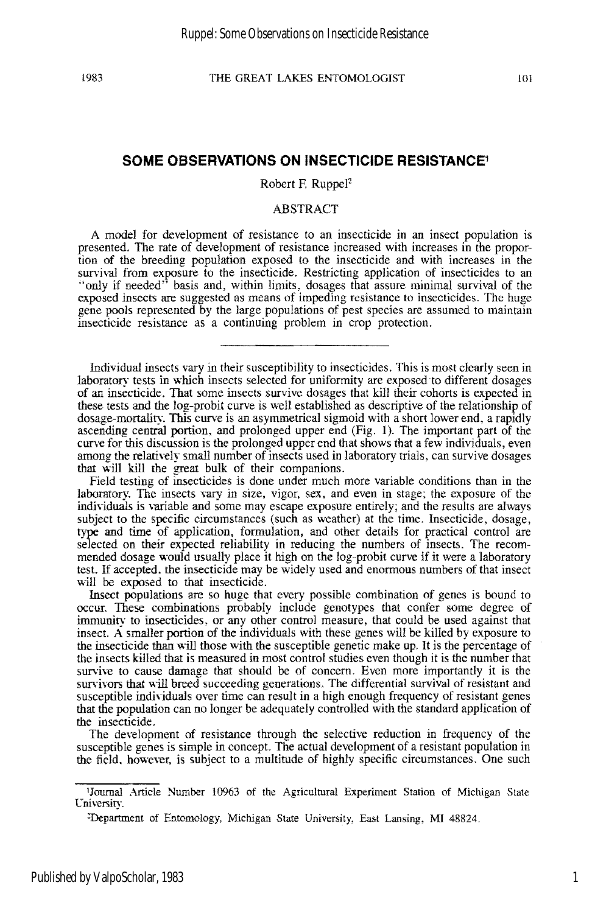#### **SOME OBSERVATIONS ON INSECTICIDE RESISTANCE1**

Robert F. Ruppe $I<sup>2</sup>$ 

#### ABSTRACT

A model for development of resistance to an insecticide in an insect population is presented. The rate of development of resistance increased with increases in the proportion of the breeding population exposed to the insecticide and with increases in the survival from exposure to the insecticide. Restricting application of insecticides to an "only if needed" basis and, within limits, dosages that assure minimal survival of the exposed insects are suggested as means of impeding resistance to insecticides. The huge gene pools represented by the large populations of pest species are assumed to maintain insecticide resistance as a continuing problem in crop protcction.

Individual insects vary in their susceptibility to insecticides. This is most clearly seen in laboratory tests in which insects selected for uniformity are exposed to different dosages of an insecticide. That some insects survive dosages that kill their cohorts is expected in these tests and the log-probit curve is well established as descriptive of the relationship of dosage-mortality. This curve is an asymmetrical sigmoid with a short lower end, a rapidly ascending central portion, and prolonged upper end (Fig. 1). The important part of the curve for this discussion is the prolonged upper end that shows that a few individuals, even among the relatively small number of insects used in laboratory trials, can survive dosages that will kill the great bulk of their companions.

Field testing of insecticides is done under much more variable conditions than in the laboratory. The insects vary in size, vigor, sex, and even in stage; the exposure of the individuals is variable and some may escape exposure entirely; and the results are always subject to the specific circumstances (such as weather) at the time. Insecticide, dosage, type and time of application, formulation, and other details for practical control are selected on their expected reliability in reducing the numbers of insects. The recommended dosage would usually place it high on the log-probit curve if it were a laboratory test. If accepted. the insecticide may be widely used and enormous numbers of that insect will be exposed to that insecticide.

Insect populations are so huge that every possible combination of genes is bound to occur. These combinations probably include genotypes that confer some degree of immunity to insecticides. or any other control measure, that could be used against that insect. A smaller portion of the individuals with these genes will be killed by exposure to the insecticide than will those with the susceptible genetic make up. It is the percentage of the insects killed that is measured in most control studies even though it is the number that survive to cause damage that should be of concern. Even more importantly it is the survivors that will breed succeeding generations. The differential survival of resistant and susceptible individuals over time can result in a high enough frequency of resistant genes that the population can no longer be adequately controlled with the standard application of the insecticide.

The development of resistance through the selective reduction in frequency of the susceptible genes is simple in concept. The actual development of a resistant population in the field. however, is subject to a multitude of highly specific circumstances. One such

lJournal Ankle Number 10963 of the Agricultural Experiment Station of Michigan State Cniversity.

<sup>:</sup>Department of Entomology, Michigan State University, East Lansing, MI 48824.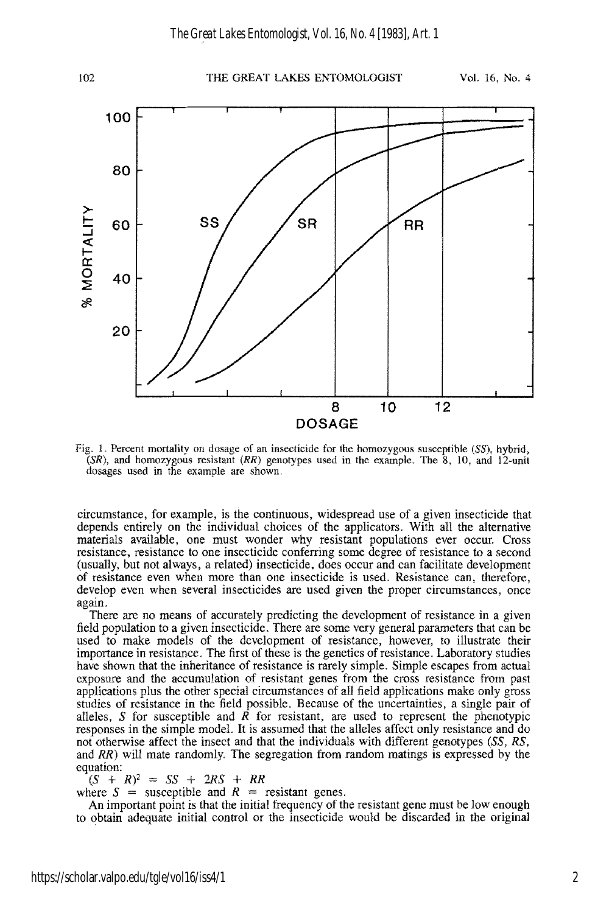

Fig. 1. Percent mortality on dosage of an insecticide for the homozygous susceptible (SS), hybrid,  $(SR)$ , and homozygous resistant  $(RR)$  genotypes used in the example. The  $\delta$ , 10, and 12-unit dosages used in the example are shown.

circumstance, for example, is the continuous, widespread use of a given insecticide that depends entirely on the individual choices of the applicators. With all the alternative materials available, one must wonder why resistant populations ever occur. Cross resistance, resistance to one insecticide conferring some degree of resistance to a second (usually, but not always, a related) insecticide, does occur and can facilitate development of resistance even when more than one insecticide is used. Resistance can, therefore, develop even when several insecticides are used given the proper circumstances, once again.

There are no means of accurately predicting the development of resistance in a given field population to a given insecticide. There are some very general parameters that can be used to make models of the development of resistance, however, to illustrate their importance in resistance. The first of these is the genetics of resistance. Laboratory studies have shown that the inheritance of resistance is rarely simple. Simple escapes from actual exposure and the accumulation of resistant genes from the cross resistance from past applications plus the other special circumstances of all field applications make only gross studies of resistance in the field possible. Because of the uncertainties, a single pair of alleles, S for susceptible and  $\overline{R}$  for resistant, are used to represent the phenotypic responses in the simple model. It is assumed that the alleles affect only resistance and do not otherwise affect the insect and that the individuals with different genotypes (SS, RS, and RR) will mate randomly. The segregation from random matings is expressed by the equation:

 $(S + R)^2 = SS + 2RS + RR$ 

where  $S =$  susceptible and  $R =$  resistant genes.

An important point is that the initial frequency of the resistant gene must be low enough to obtain adequate initial control or the insecticide would be discarded in the original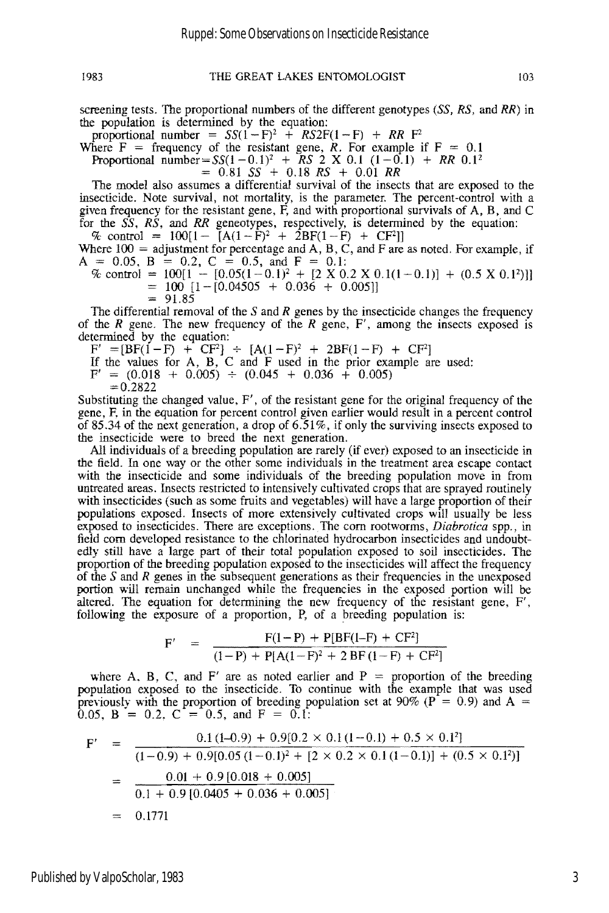screening tests. The proportional numbers of the different genotypes *(SS, RS,* and *RR)* in the population is determined by the equation:

proportional number =  $SS(1 - F)^2 + RSS2F(1 - F) + RR F^2$ 

Where  $F =$  frequency of the resistant gene, *R*. For example if  $F = 0.1$ 

Proportional number= $SS(1-0.1)^2$  + *RS* 2 X 0.1  $(1-0.1)$  + *RR* 0.1<sup>2</sup>

 $=$  0.81 SS<sup>2</sup> + 0.18 RS<sup>2</sup> + 0.01 RR

The model also assumes a differential survival of the insects that are exposed to the insecticide. Note survival, not mortality, is the parameter. The percent-control with a given frequency for the resistant gene, F, and with proportional survivals of A, B, and C for the *SS, RS,* and *RR* geneotypes, respectively, is determined by the equation:

 $\%$  control = 100[1-  $[A(1-\hat{F})^2 + 2BF(1-\hat{F}) + CF^2]$ ] Where  $100 =$  adjustment for percentage and A, B, C, and F are as noted. For example, if  $A = 0.05$ ,  $B = 0.2$ ,  $C = 0.5$ , and  $F = 0.1$ :

 $\%$  control = 100[1 - [0.05(1 - 0.1)<sup>2</sup> + [2 X 0.2 X 0.1(1 - 0.1)] + (0.5 X 0.1<sup>2</sup>)]]

 $= 100 [1 - [0.04505 + 0.036 + 0.005]]$ 

91.85

The differential removal of the S and *R* genes by the insecticide changes the frequency of the *R* gene. The new frequency of the *R* gene, F', among the insects exposed is determined by the equation:

 $F' = [BF(1-F) + CF^2] \div [A(1-F)^2 + 2BF(1-F) + CF^2]$ 

If the values for A, B, C and F used in the prior example are used:

 $F' = (0.018 + 0.005) \div (0.045 + 0.036 + 0.005)$ 

 $= 0.2822$ 

Substituting the changed value, F', of the resistant gene for the original frequency of the gene, F, in the equation for percent control given earlier would result in a percent control of 85.34 of the next generation, a drop of 6.51%, if only the surviving insects exposed to the insecticide were to breed the next generation.

All individuals of a breeding population are rarely (if ever) exposed to an insecticide in the field. In one way or the other some individuals in the treatment area escape contact with the insecticide and some individuals of the breeding population move in from untreated areas. Insects restricted to intensively cultivated crops that are sprayed routinely with insecticides (such as some fruits and vegetables) will have a large proportion of their populations exposed. Insects of more extensively cultivated crops will usually be less exposed to insecticides. There are exceptions. The corn rootworms, *Diabrotica* spp., in field corn developed resistance to the chlorinated hydrocarbon insecticides and undoubtedly still have a large part of their total population exposed to soil insecticides. The proportion of the breeding population exposed to the insecticides will affect the frequency of the S and *R* genes in the subsequent generations as their frequencies in the unexposed portion will remain unchanged while the frequencies in the exposed portion will be altered. The equation for determining the new frequency of the resistant gene, F', following the exposure of a proportion, P, of a breeding population is:

$$
F' = \frac{F(1-P) + P[BF(1-F) + CF^2]}{(1-P) + P[A(1-F)^2 + 2BF(1-F) + CF^2]}
$$

where A, B, C, and F' are as noted earlier and  $P =$  proportion of the breeding population exposed to the insecticide. To continue with the example that was used previously with the proportion of breeding population set at 90% ( $P = 0.9$ ) and A = 0.05, B = 0.2, C = 0.5, and F = 0.1:

$$
F' = \frac{0.1 (1-0.9) + 0.9[0.2 \times 0.1 (1-0.1) + 0.5 \times 0.1^2]}{(1-0.9) + 0.9[0.05 (1-0.1)^2 + [2 \times 0.2 \times 0.1 (1-0.1)] + (0.5 \times 0.1^2)]}
$$
  
= 
$$
\frac{0.01 + 0.9 [0.018 + 0.005]}{0.1 + 0.9 [0.0405 + 0.036 + 0.005]}
$$
  
= 0.1771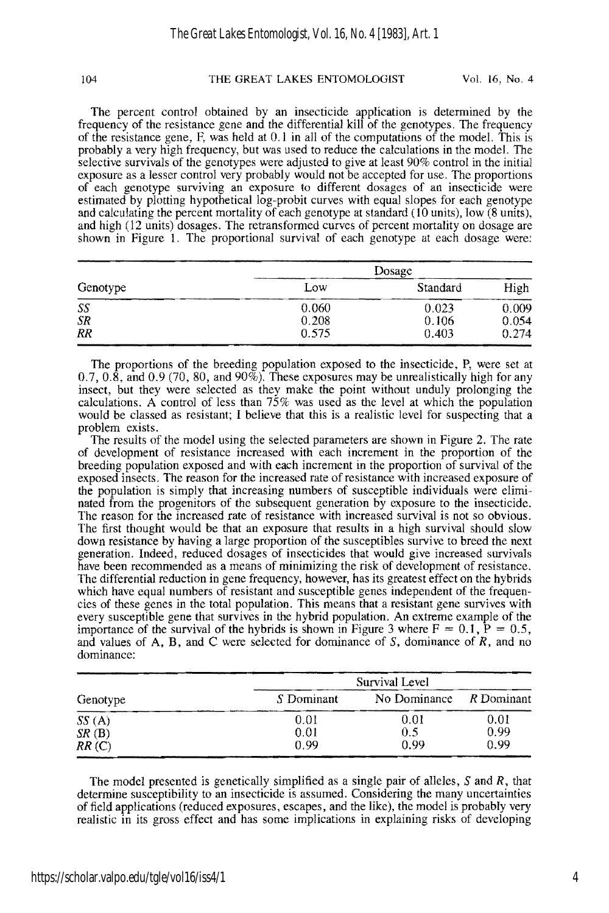104 THE GREAT LAKES ENTOMOLOGIST Vol. 16, No. 4

The percent control obtained by an insecticide application is detennined by the frequency of the resistance gene and the differential kill of the genotypes. The frequency of the resistance gene,  $F$ , was held at  $0.1$  in all of the computations of the model. This is probably a very high frequency, but was used to reduce the calculations in the model. The selective survivals of the genotypes were adjusted to give at least 90% control in the initial exposure as a lesser control very probably would not be accepted for use. The proportions of each genotype surviving an exposure to different dosages of an insecticide were estimated by plotting hypothetical log-probit curves with equal slopes for each genotype and calculating the percent mortality of each genotype at standard (10 units), low (8 units), and high (12 units) dosages. The retransfonned curves of pereent mortality on dosage are shown in Figure 1. The proportional survival of each genotype at each dosage were:

| Genotype  | Dosage |          |       |
|-----------|--------|----------|-------|
|           | Low    | Standard | High  |
| SS        | 0.060  | 0.023    | 0.009 |
| <b>SR</b> | 0.208  | 0.106    | 0.054 |
| RR        | 0.575  | 0.403    | 0.274 |

The proportions of the breeding population exposed to the insecticide, P, were set at 0.7, 0.8, and 0.9 (70, 80, and 90%). These exposures may be unrealistically high for any insect, but they were selected as they make the point without unduly prolonging the calculations. A control of less than  $75\%$  was used as the level at which the population would be classed as resistant; I believe that this is a realistic level for suspecting that a problem exists.

The results of the model using the selected parameters are shown in Figure 2. The rate of development of resistance increased with each increment in the proportion of the breeding population exposed and with each increment in the proportion of survival of the exposed insects. The reason for the increased rate of resistance with increased exposure of the population is simply that increasing numbers of susceptible individuals were eliminated from the progenitors of the subsequent generation by exposure to the inseeticide. The reason for the inereased rate of resistance with increased survival is not so obvious. The first thought would be that an exposure that results in a high survival should slow down resistance by having a large proportion of the susceptibles survive to breed the next generation. Indeed, reduced dosages of insecticides that would give increased survivals have been recommended as a means of minimizing the risk of development of resistance. The differential reduction in gene frequency, however, has its greatest effect on the hybrids which have equal numbers of resistant and susceptible genes independent of the frequencies of these genes in the total population. This means that a resistant gene survives with every susceptible gene that survives in the hybrid population. An extreme example of the importance of the survival of the hybrids is shown in Figure 3 where  $F = 0.1$ ,  $P = 0.5$ , and values of A, B, and C were selected for dominance of S, dominance of *R,* and no dominance:

| Genotype | Survival Level |              |            |
|----------|----------------|--------------|------------|
|          | S Dominant     | No Dominance | R Dominant |
| SS(A)    | 0.01           | 0.01         | 0.01       |
| SR(B)    | 0.01           | 0.5          | 0.99       |
| RR(C)    | 0.99           | 0.99         | 0.99       |

The model presented is genetically simplified as a single pair of alleles, S and R, that determine susceptibility to an insecticide is assumed. Considering the many uncertainties of field applications (reduced exposures, eseapes, and the like), the model is probably very realistic in its gross effect and has some implications in explaining risks of developing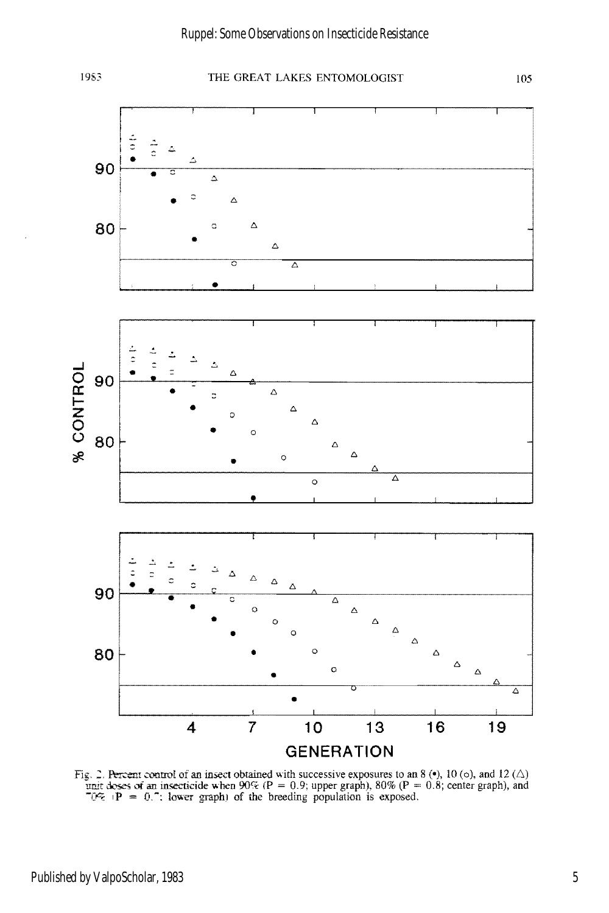

#### 1983 THE GREAT LAKES ENTOMOLOGIST 105



Fig. 2. Percent control of an insect obtained with successive exposures to an 8 ( $\bullet$ ), 10 (o), and 12 ( $\triangle$ ) unit deses of an insecticide when 90% (P = 0.9; upper graph), 80% (P = 0.8; center graph), and  $\degree$ G% (P = 0.7;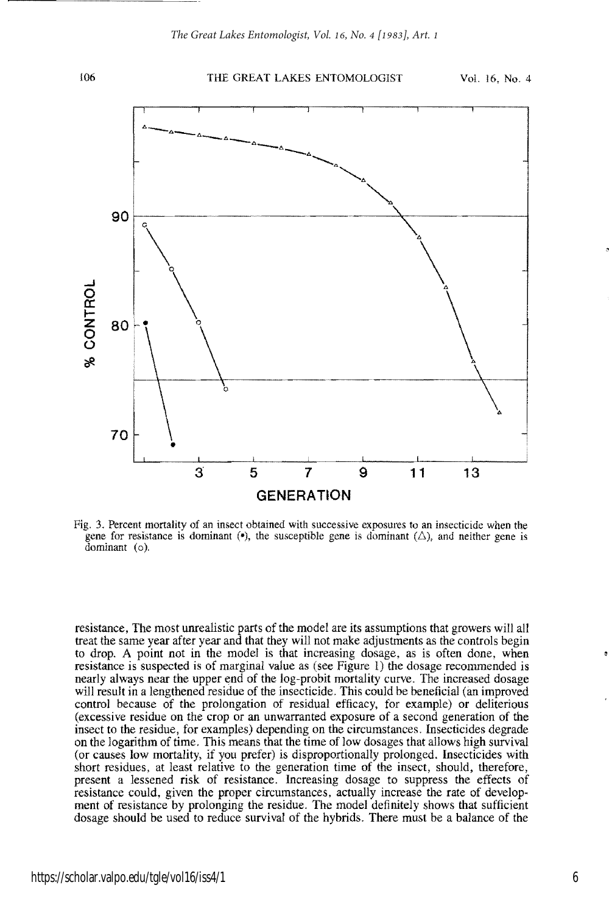

Fig. 3. Percent mortality of an insect obtained with successive exposures to an insecticide when the gene for resistance is dominant ( $\bullet$ ), the susceptible gene is dominant ( $\triangle$ ), and neither gene is dominant (0).

resistance, The most unrealistic parts of the model are its assumptions that growers will all treat the same year after year and that they will not make adjustments as the controls begin to drop. A point not in the model is that increasing dosage, as is often done, when resistance is suspected is of marginal value as (see Figure I) the dosage recommended is nearly always near the upper end of the log-probit mortality curve. The increased dosage will result in a lengthened residue of the insecticide. This could be beneficial (an improved control because of the prolongation of residual efficacy, for example) or deliterious (excessive residue on the crop or an unwarranted exposure of a second generation of the insect to the residue, for examples) depending on the circumstances. Insecticides degrade on the logarithm of time. This means that the time of low dosages that allows high survival (or causes low mortality, if you prefer) is disproportionally prolonged. Insecticides with short residues, at least relative to the generation time of the insect, should, therefore, present a lessened risk of resistance. Increasing dosage to suppress the effects of resistance could, given the proper circumstances, actually increase the rate of development of resistance by prolonging the residue. The model definitely shows that sufficient dosage should be used to reduce survival of the hybrids. There must be a balance of the